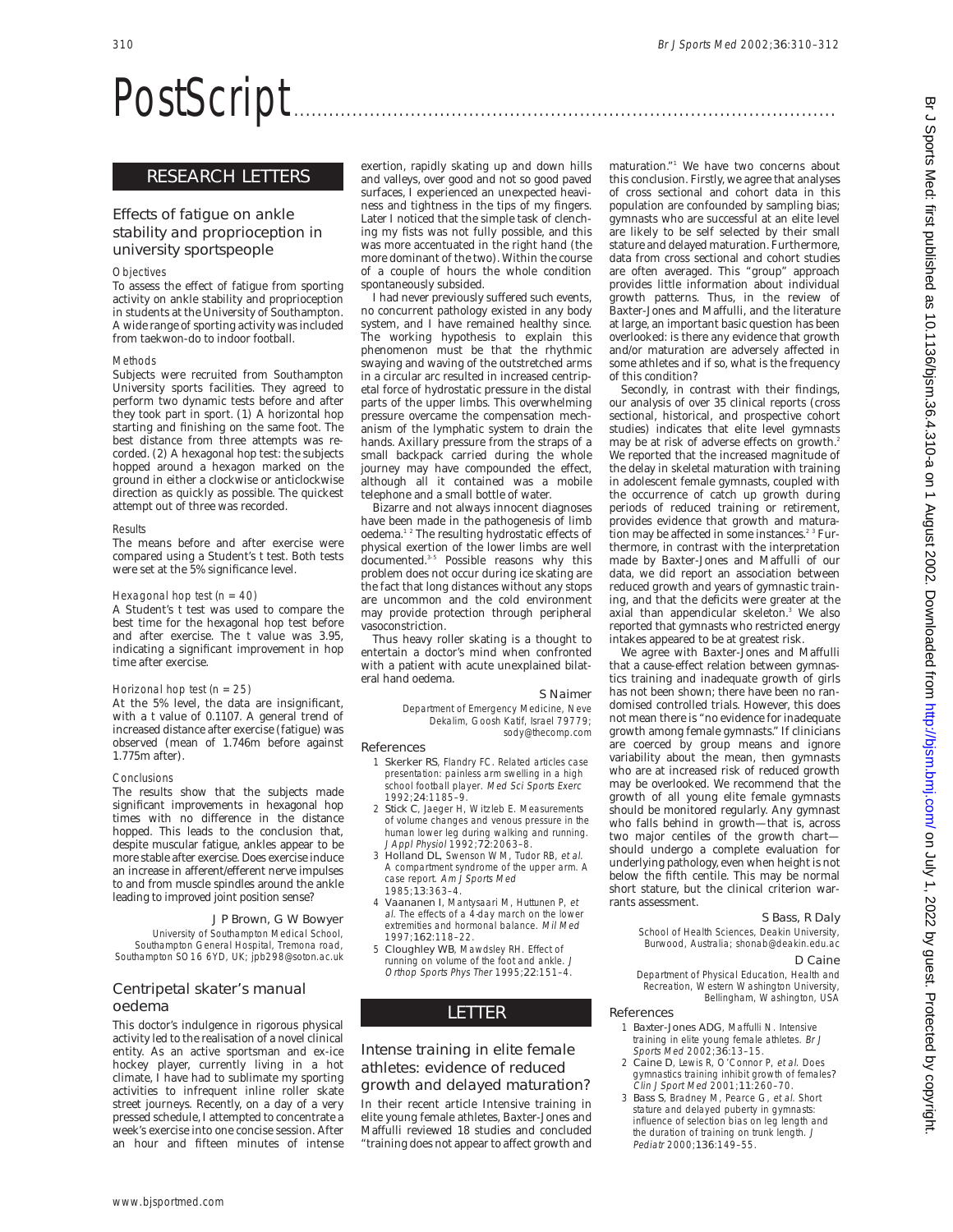# PostScript .............................................................................................

# RESEARCH LETTERS

## Effects of fatigue on ankle stability and proprioception in university sportspeople

## **Objectives**

To assess the effect of fatigue from sporting activity on ankle stability and proprioception in students at the University of Southampton. A wide range of sporting activity was included from taekwon-do to indoor football.

#### Methods

Subjects were recruited from Southampton University sports facilities. They agreed to perform two dynamic tests before and after they took part in sport. (1) A horizontal hop starting and finishing on the same foot. The best distance from three attempts was recorded. (2) A hexagonal hop test: the subjects hopped around a hexagon marked on the ground in either a clockwise or anticlockwise direction as quickly as possible. The quickest attempt out of three was recorded.

#### Results

The means before and after exercise were compared using a Student's *t* test. Both tests were set at the 5% significance level.

## Hexagonal hop test ( $n = 40$ )

A Student's *t* test was used to compare the best time for the hexagonal hop test before and after exercise. The *t* value was 3.95, indicating a significant improvement in hop time after exercise.

#### Horizonal hop test ( $n = 25$ )

At the 5% level, the data are insignificant, with a *t* value of 0.1107. A general trend of increased distance after exercise (fatigue) was observed (mean of 1.746m before against 1.775m after).

#### Conclusions

The results show that the subjects made significant improvements in hexagonal hop times with no difference in the distance hopped. This leads to the conclusion that, despite muscular fatigue, ankles appear to be more stable after exercise. Does exercise induce an increase in afferent/efferent nerve impulses to and from muscle spindles around the ankle leading to improved joint position sense?

#### J P Brown, G W Bowyer

University of Southampton Medical School, Southampton General Hospital, Tremona road, Southampton SO16 6YD, UK; jpb298@soton.ac.uk

## Centripetal skater's manual oedema

This doctor's indulgence in rigorous physical activity led to the realisation of a novel clinical entity. As an active sportsman and ex-ice hockey player, currently living in a hot climate, I have had to sublimate my sporting activities to infrequent inline roller skate street journeys. Recently, on a day of a very pressed schedule, I attempted to concentrate a week's exercise into one concise session. After an hour and fifteen minutes of intense

exertion, rapidly skating up and down hills and valleys, over good and not so good paved surfaces, I experienced an unexpected heaviness and tightness in the tips of my fingers. Later I noticed that the simple task of clenching my fists was not fully possible, and this was more accentuated in the right hand (the more dominant of the two). Within the course of a couple of hours the whole condition spontaneously subsided.

I had never previously suffered such events, no concurrent pathology existed in any body system, and I have remained healthy since. The working hypothesis to explain this phenomenon must be that the rhythmic swaying and waving of the outstretched arms in a circular arc resulted in increased centripetal force of hydrostatic pressure in the distal parts of the upper limbs. This overwhelming pressure overcame the compensation mechanism of the lymphatic system to drain the hands. Axillary pressure from the straps of a small backpack carried during the whole journey may have compounded the effect, although all it contained was a mobile telephone and a small bottle of water.

Bizarre and not always innocent diagnoses have been made in the pathogenesis of limb oedema.1 2 The resulting hydrostatic effects of physical exertion of the lower limbs are well documented.3–5 Possible reasons why this problem does not occur during ice skating are the fact that long distances without any stops are uncommon and the cold environment may provide protection through peripheral vasoconstriction.

Thus heavy roller skating is a thought to entertain a doctor's mind when confronted with a patient with acute unexplained bilateral hand oedema.

#### S Naimer

Department of Emergency Medicine, Neve Dekalim, Goosh Katif, Israel 79779; sody@thecomp.com

#### References

- 1 Skerker RS, Flandry FC. Related articles case presentation: painless arm swelling in a high school football player. Med Sci Sports Exerc 1992;24:1185–9.
- 2 Stick C, Jaeger H, Witzleb E. Measurements of volume changes and venous pressure in the human lower leg during walking and running. J Appl Physiol 1992;72:2063–8.
- 3 Holland DL, Swenson WM, Tudor RB, et al. A compartment syndrome of the upper arm. A case report. Am J Sports Med 1985;13:363–4.
- 4 Vaananen I, Mantysaari M, Huttunen P, et al. The effects of a 4-day march on the lower extremities and hormonal balance. Mil Med 1997;162:118–22.
- 5 Cloughley WB, Mawdsley RH. Effect of running on volume of the foot and ankle. J Orthop Sports Phys Ther 1995;22:151–4.

# LETTER

## Intense training in elite female athletes: evidence of reduced growth and delayed maturation?

In their recent article Intensive training in elite young female athletes, Baxter-Jones and Maffulli reviewed 18 studies and concluded "training does not appear to affect growth and maturation."1 We have two concerns about this conclusion. Firstly, we agree that analyses of cross sectional and cohort data in this population are confounded by sampling bias; gymnasts who are successful at an elite level are likely to be self selected by their small stature and delayed maturation. Furthermore, data from cross sectional and cohort studies are often averaged. This "group" approach provides little information about individual growth patterns. Thus, in the review of Baxter-Jones and Maffulli, and the literature at large, an important basic question has been overlooked: is there any evidence that growth and/or maturation are adversely affected in some athletes and if so, what is the frequency of this condition?

Secondly, in contrast with their findings, our analysis of over 35 clinical reports (cross sectional, historical, and prospective cohort studies) indicates that elite level gymnasts may be at risk of adverse effects on growth.<sup>2</sup> We reported that the increased magnitude of the delay in skeletal maturation with training in adolescent female gymnasts, coupled with the occurrence of catch up growth during periods of reduced training or retirement, provides evidence that growth and maturation may be affected in some instances.<sup>23</sup> Furthermore, in contrast with the interpretation made by Baxter-Jones and Maffulli of our data, we did report an association between reduced growth and years of gymnastic training, and that the deficits were greater at the axial than appendicular skeleton.<sup>3</sup> We also reported that gymnasts who restricted energy intakes appeared to be at greatest risk.

We agree with Baxter-Jones and Maffulli that a cause-effect relation between gymnastics training and inadequate growth of girls has not been shown; there have been no randomised controlled trials. However, this does not mean there is "no evidence for inadequate growth among female gymnasts." If clinicians are coerced by group means and ignore variability about the mean, then gymnasts who are at increased risk of reduced growth may be overlooked. We recommend that the growth of all young elite female gymnasts should be monitored regularly. Any gymnast who falls behind in growth—that is, across two major centiles of the growth chart should undergo a complete evaluation for underlying pathology, even when height is not below the fifth centile. This may be normal short stature, but the clinical criterion warrants assessment.

#### S Bass, R Daly

School of Health Sciences, Deakin University, Burwood, Australia; shonab@deakin.edu.ac D Caine

# Department of Physical Education, Health and

Recreation, Western Washington University, Bellingham, Washington, USA

## References

- 1 Baxter-Jones ADG, Maffulli N. Intensive training in elite young female athletes. Br J Sports Med 2002;36:13–15.
- 2 Caine D, Lewis R, O'Connor P, et al. Does gymnastics training inhibit growth of females? Clin J Sport Med 2001;11:260–70.
- 3 Bass S, Bradney M, Pearce G, et al. Short stature and delayed puberty in gymnasts: influence of selection bias on leg length and the duration of training on trunk length. J Pediatr 2000;136:149-55.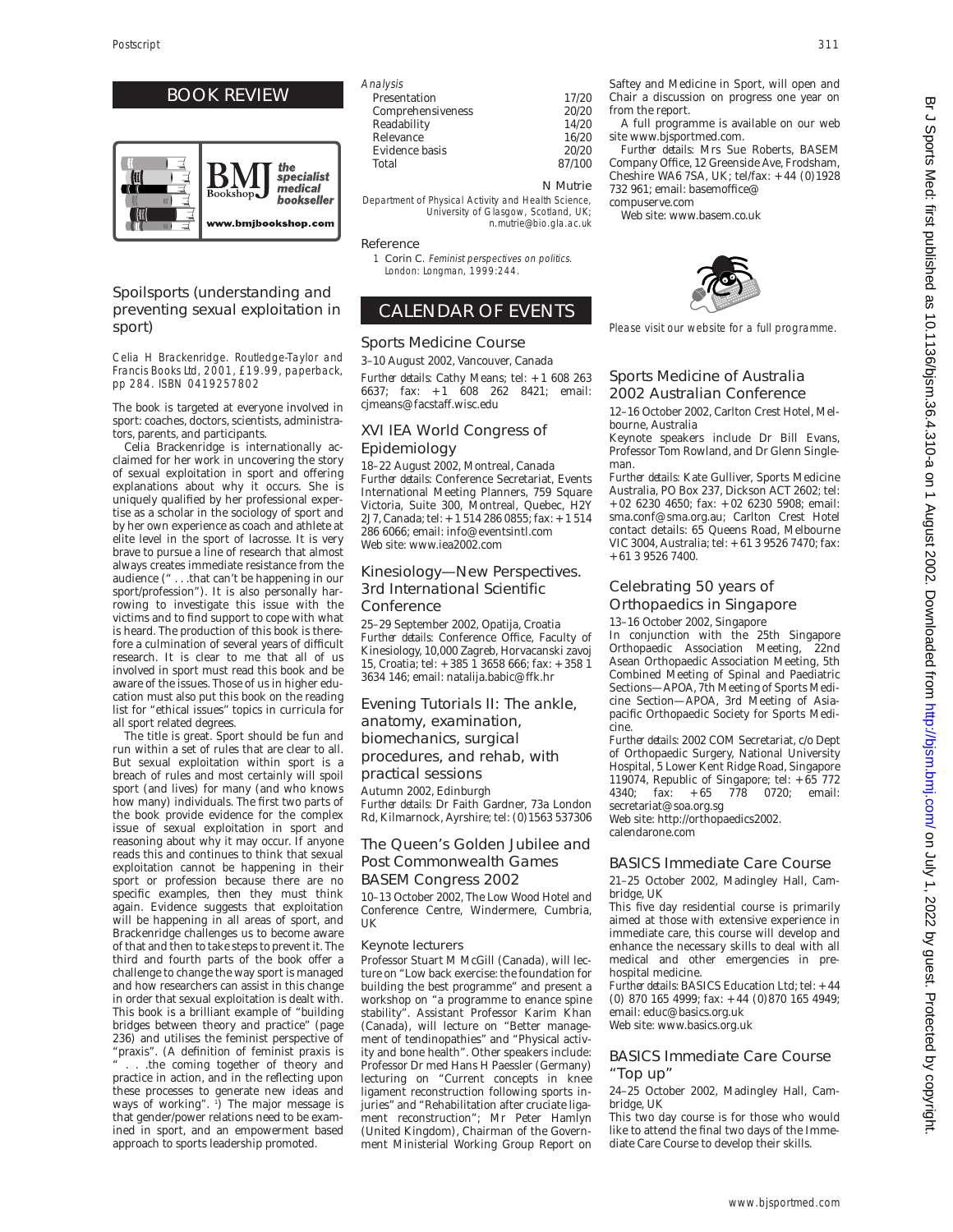# BOOK REVIEW



## Spoilsports (understanding and preventing sexual exploitation in sport)

Celia H Brackenridge. Routledge-Taylor and Francis Books Ltd, 2001, £19.99, paperback, pp 284. ISBN 0419257802

The book is targeted at everyone involved in sport: coaches, doctors, scientists, administrators, parents, and participants.

Celia Brackenridge is internationally acclaimed for her work in uncovering the story of sexual exploitation in sport and offering explanations about why it occurs. She is uniquely qualified by her professional expertise as a scholar in the sociology of sport and by her own experience as coach and athlete at elite level in the sport of lacrosse. It is very brave to pursue a line of research that almost always creates immediate resistance from the audience (" . . .that can't be happening in our sport/profession"). It is also personally harrowing to investigate this issue with the victims and to find support to cope with what is heard. The production of this book is therefore a culmination of several years of difficult research. It is clear to me that all of us involved in sport must read this book and be aware of the issues. Those of us in higher education must also put this book on the reading list for "ethical issues" topics in curricula for all sport related degrees.

The title is great. Sport should be fun and run within a set of rules that are clear to all. But sexual exploitation within sport is a breach of rules and most certainly will spoil sport (and lives) for many (and who knows how many) individuals. The first two parts of the book provide evidence for the complex issue of sexual exploitation in sport and reasoning about why it may occur. If anyone reads this and continues to think that sexual exploitation cannot be happening in their sport or profession because there are no specific examples, then they must think again. Evidence suggests that exploitation will be happening in all areas of sport, and Brackenridge challenges us to become aware of that and then to take steps to prevent it. The third and fourth parts of the book offer a challenge to change the way sport is managed and how researchers can assist in this change in order that sexual exploitation is dealt with. This book is a brilliant example of "building bridges between theory and practice" (page 236) and utilises the feminist perspective of "praxis". (A definition of feminist praxis is . . the coming together of theory and practice in action, and in the reflecting upon these processes to generate new ideas and ways of working". <sup>1</sup>) The major message is that gender/power relations need to be examined in sport, and an empowerment based approach to sports leadership promoted.

Analysis

| Presentation      | 17/20  |
|-------------------|--------|
| Comprehensiveness | 20/20  |
| Readability       | 14/20  |
| Relevance         | 16/20  |
| Evidence basis    | 20/20  |
| Total             | 87/100 |
|                   |        |

87/100 N Mutrie

17/20 20/20<br>14/20

16/20 20/20

Department of Physical Activity and Health Science, University of Glasgow, Scotland, UK; n.mutrie@bio.gla.ac.uk

Reference

1 Corin C. Feminist perspectives on politics. London: Longman, 1999:244.

# CALENDAR OF EVENTS

## Sports Medicine Course

3–10 August 2002, Vancouver, Canada

*Further details*: Cathy Means; tel: +1 608 263 6637; fax: +1 608 262 8421; email: cjmeans@facstaff.wisc.edu

## XVI IEA World Congress of Epidemiology

18–22 August 2002, Montreal, Canada *Further details*: Conference Secretariat, Events International Meeting Planners, 759 Square Victoria, Suite 300, Montreal, Quebec, H2Y 2J7, Canada; tel: +1 514 286 0855; fax: +1 514 286 6066; email: info@eventsintl.com Web site: www.iea2002.com

# Kinesiology—New Perspectives. 3rd International Scientific Conference

25–29 September 2002, Opatija, Croatia *Further details*: Conference Office, Faculty of Kinesiology, 10,000 Zagreb, Horvacanski zavoj 15, Croatia; tel: +385 1 3658 666; fax: +358 1 3634 146; email: natalija.babic@ffk.hr

Evening Tutorials II: The ankle,

anatomy, examination,

biomechanics, surgical

procedures, and rehab, with

## practical sessions

Autumn 2002, Edinburgh *Further details*: Dr Faith Gardner, 73a London Rd, Kilmarnock, Ayrshire; tel: (0)1563 537306

## The Queen's Golden Jubilee and Post Commonwealth Games BASEM Congress 2002

10–13 October 2002, The Low Wood Hotel and Conference Centre, Windermere, Cumbria, UK

## Keynote lecturers

Professor Stuart M McGill (Canada), will lecture on "Low back exercise: the foundation for building the best programme" and present a workshop on "a programme to enance spine stability". Assistant Professor Karim Khan (Canada), will lecture on "Better management of tendinopathies" and "Physical activity and bone health". Other speakers include: Professor Dr med Hans H Paessler (Germany) lecturing on "Current concepts in knee ligament reconstruction following sports injuries" and "Rehabilitation after cruciate ligament reconstruction"; Mr Peter Hamlyn (United Kingdom), Chairman of the Government Ministerial Working Group Report on

Saftey and Medicine in Sport, will open and Chair a discussion on progress one year on from the report.

A full programme is available on our web site www.bjsportmed.com.

*Further details*: Mrs Sue Roberts, BASEM Company Office, 12 Greenside Ave, Frodsham, Cheshire WA6 7SA, UK; tel/fax: +44 (0)1928 732 961; email: basemoffice@

compuserve.com

Web site: www.basem.co.uk



Please visit our website for a full programme.

# Sports Medicine of Australia 2002 Australian Conference

12–16 October 2002, Carlton Crest Hotel, Melbourne, Australia

Keynote speakers include Dr Bill Evans, Professor Tom Rowland, and Dr Glenn Singleman.

*Further details*: Kate Gulliver, Sports Medicine Australia, PO Box 237, Dickson ACT 2602; tel: +02 6230 4650; fax: +02 6230 5908; email: sma.conf@sma.org.au; Carlton Crest Hotel contact details: 65 Queens Road, Melbourne VIC 3004, Australia; tel: +61 3 9526 7470; fax:  $+61$  3 9526 7400

# Celebrating 50 years of Orthopaedics in Singapore

13–16 October 2002, Singapore

In conjunction with the 25th Singapore Orthopaedic Association Meeting, 22nd Asean Orthopaedic Association Meeting, 5th Combined Meeting of Spinal and Paediatric Sections—APOA, 7th Meeting of Sports Medicine Section—APOA, 3rd Meeting of Asiapacific Orthopaedic Society for Sports Medicine.

*Further details*: 2002 COM Secretariat, c/o Dept of Orthopaedic Surgery, National University Hospital, 5 Lower Kent Ridge Road, Singapore 119074, Republic of Singapore; tel: +65 772 4340; fax: +65 778 0720; email: secretariat@soa.org.sg

Web site: http://orthopaedics2002. calendarone.com

# BASICS Immediate Care Course

21–25 October 2002, Madingley Hall, Cambridge, UK

This five day residential course is primarily aimed at those with extensive experience in immediate care, this course will develop and enhance the necessary skills to deal with all medical and other emergencies in prehospital medicine.

*Further details*: BASICS Education Ltd; tel: +44 (0) 870 165 4999; fax: +44 (0)870 165 4949; email: educ@basics.org.uk

Web site: www.basics.org.uk

## BASICS Immediate Care Course "Top up"

24–25 October 2002, Madingley Hall, Cambridge, UK

This two day course is for those who would like to attend the final two days of the Immediate Care Course to develop their skills.